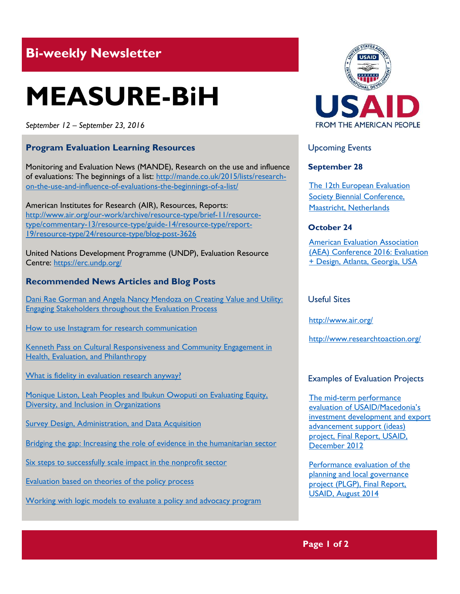# **Bi-weekly Newsletter**

# **MEASURE-BiH**

*September 12 – September 23, 2016*

# **Program Evaluation Learning Resources**

Monitoring and Evaluation News (MANDE), Research on the use and influence of evaluations: The beginnings of a list: [http://mande.co.uk/2015/lists/research](http://mande.co.uk/2015/lists/research-on-the-use-and-influence-of-evaluations-the-beginnings-of-a-list/)[on-the-use-and-influence-of-evaluations-the-beginnings-of-a-list/](http://mande.co.uk/2015/lists/research-on-the-use-and-influence-of-evaluations-the-beginnings-of-a-list/)

American Institutes for Research (AIR), Resources, Reports: [http://www.air.org/our-work/archive/resource-type/brief-11/resource](http://www.air.org/our-work/archive/resource-type/brief-11/resource-type/commentary-13/resource-type/guide-14/resource-type/report-19/resource-type/24/resource-type/blog-post-3626)[type/commentary-13/resource-type/guide-14/resource-type/report-](http://www.air.org/our-work/archive/resource-type/brief-11/resource-type/commentary-13/resource-type/guide-14/resource-type/report-19/resource-type/24/resource-type/blog-post-3626)[19/resource-type/24/resource-type/blog-post-3626](http://www.air.org/our-work/archive/resource-type/brief-11/resource-type/commentary-13/resource-type/guide-14/resource-type/report-19/resource-type/24/resource-type/blog-post-3626)

United Nations Development Programme (UNDP), Evaluation Resource Centre:<https://erc.undp.org/>

### **Recommended News Articles and Blog Posts**

Dani Rae Gorman and Angela Nancy Mendoza on Creating Value and Utility: [Engaging Stakeholders throughout the Evaluation Process](http://aea365.org/blog/gedi-week-dani-rae-gorman-and-angela-nancy-mendoza-on-creating-value-and-utility-engaging-stakeholders-throughout-the-evaluation-process/?utm_source=feedburner&utm_medium=feed&utm_campaign=Feed%3A+aea365+%28AEA365%29)

[How to use Instagram for research communication](http://www.researchtoaction.org/2013/10/using-instagram-for-research-communication/)

[Kenneth Pass on Cultural Responsiveness and Community Engagement in](http://aea365.org/blog/gedi-week-kenneth-pass-on-cultural-responsiveness-and-community-engagement-in-health-evaluation-and-philanthropy/?utm_source=feedburner&utm_medium=feed&utm_campaign=Feed%3A+aea365+%28AEA365%29)  [Health, Evaluation, and Philanthropy](http://aea365.org/blog/gedi-week-kenneth-pass-on-cultural-responsiveness-and-community-engagement-in-health-evaluation-and-philanthropy/?utm_source=feedburner&utm_medium=feed&utm_campaign=Feed%3A+aea365+%28AEA365%29)

[What is fidelity in evaluation research anyway?](http://www.air.org/resource/applying-social-science-real-world#garfinkel)

[Monique Liston, Leah Peoples and Ibukun Owoputi on Evaluating Equity,](http://aea365.org/blog/gedi-week-monique-liston-leah-peoples-and-ibukun-owoputi-on-evaluating-equity-diversity-and-inclusion-in-organizations/?utm_source=feedburner&utm_medium=feed&utm_campaign=Feed%3A+aea365+%28AEA365%29)  [Diversity, and Inclusion in Organizations](http://aea365.org/blog/gedi-week-monique-liston-leah-peoples-and-ibukun-owoputi-on-evaluating-equity-diversity-and-inclusion-in-organizations/?utm_source=feedburner&utm_medium=feed&utm_campaign=Feed%3A+aea365+%28AEA365%29)

[Survey Design, Administration, and Data Acquisition](http://www.air.org/service/survey-design-administration-and-data-acquisition)

Bridging the gap: Increasing the role of evidence in the humanitarian sector

[Six steps to successfully scale impact in the nonprofit sector](http://www.hfrp.org/evaluation/the-evaluation-exchange/issue-archive/current-issue-scaling-impact/six-steps-to-successfully-scale-impact-in-the-nonprofit-sector)

[Evaluation based on theories of the policy process](http://www.hfrp.org/evaluation/the-evaluation-exchange/issue-archive/advocacy-and-policy-change/evaluation-based-on-theories-of-the-policy-process)

[Working with logic models to evaluate a policy and advocacy program](http://www.hfrp.org/evaluation/the-evaluation-exchange/issue-archive/advocacy-and-policy-change/working-with-logic-models-to-evaluate-a-policy-and-advocacy-program)



Upcoming Events

#### **September 28**

[The 12th European Evaluation](http://mande.co.uk/conferences/?event_id1=16)  [Society Biennial Conference,](http://mande.co.uk/conferences/?event_id1=16)  [Maastricht, Netherlands](http://mande.co.uk/conferences/?event_id1=16)

# **October 24**

[American Evaluation Association](http://mande.co.uk/conferences/?event_id1=26)  [\(AEA\) Conference 2016: Evaluation](http://mande.co.uk/conferences/?event_id1=26)  [+ Design, Atlanta, Georgia, USA](http://mande.co.uk/conferences/?event_id1=26)

#### Useful Sites

<http://www.air.org/>

<http://www.researchtoaction.org/>

# Examples of Evaluation Projects

[The mid-term performance](http://pdf.usaid.gov/pdf_docs/pdacu953.pdf)  [evaluation of USAID/Macedonia's](http://pdf.usaid.gov/pdf_docs/pdacu953.pdf)  [investment development and export](http://pdf.usaid.gov/pdf_docs/pdacu953.pdf)  [advancement support \(ideas\)](http://pdf.usaid.gov/pdf_docs/pdacu953.pdf)  [project, Final Report, USAID,](http://pdf.usaid.gov/pdf_docs/pdacu953.pdf)  [December 2012](http://pdf.usaid.gov/pdf_docs/pdacu953.pdf)

[Performance evaluation of the](http://pdf.usaid.gov/pdf_docs/pa00k4hr.pdf)  [planning and local governance](http://pdf.usaid.gov/pdf_docs/pa00k4hr.pdf)  [project \(PLGP\), Final Report,](http://pdf.usaid.gov/pdf_docs/pa00k4hr.pdf)  [USAID, August 2014](http://pdf.usaid.gov/pdf_docs/pa00k4hr.pdf)

**Page 1 of 2**